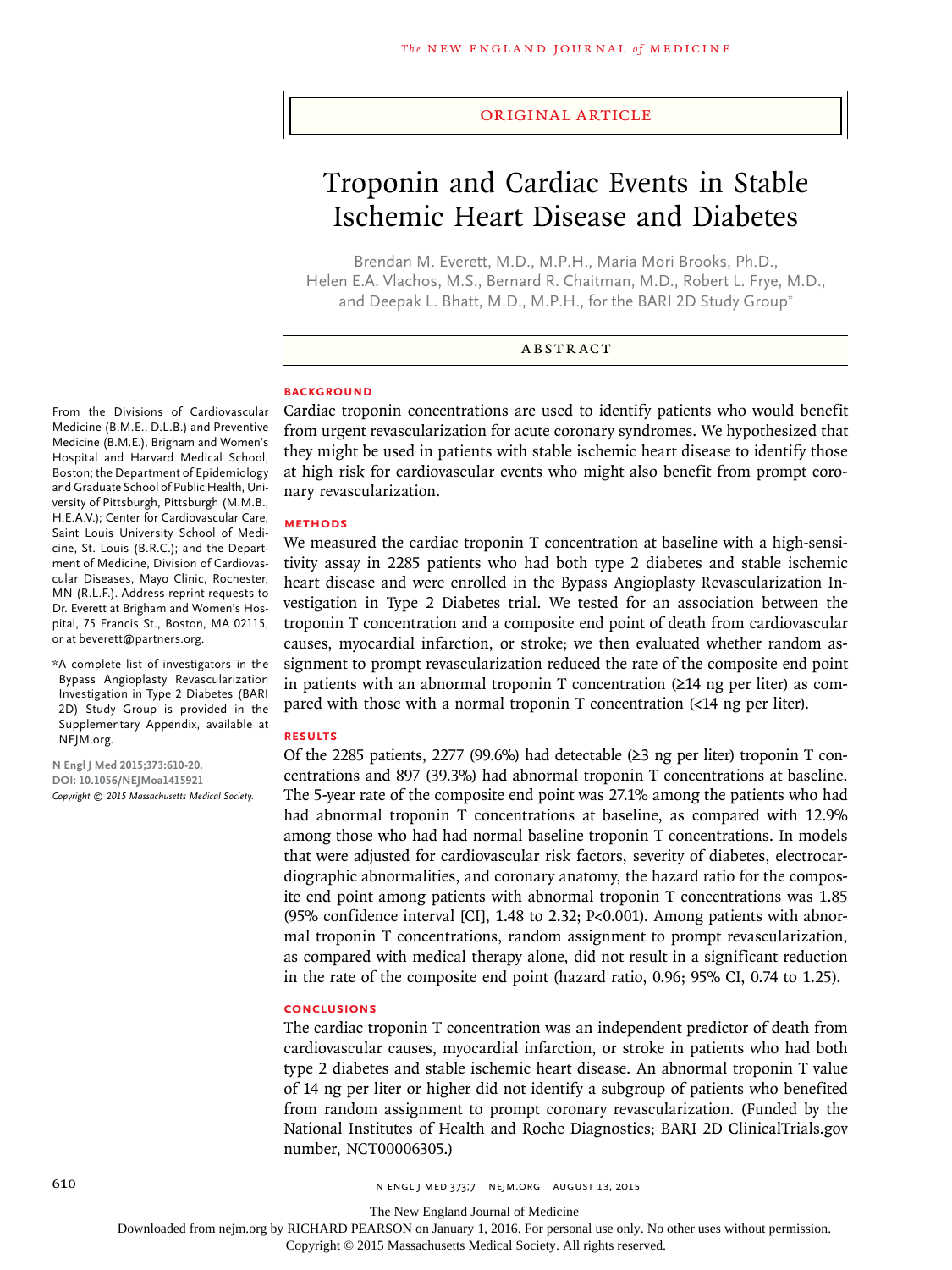#### Original Article

# Troponin and Cardiac Events in Stable Ischemic Heart Disease and Diabetes

Brendan M. Everett, M.D., M.P.H., Maria Mori Brooks, Ph.D., Helen E.A. Vlachos, M.S., Bernard R. Chaitman, M.D., Robert L. Frye, M.D., and Deepak L. Bhatt, M.D., M.P.H., for the BARI 2D Study Group\*

#### ABSTRACT

## **BACKGROUND**

From the Divisions of Cardiovascular Medicine (B.M.E., D.L.B.) and Preventive Medicine (B.M.E.), Brigham and Women's Hospital and Harvard Medical School, Boston; the Department of Epidemiology and Graduate School of Public Health, University of Pittsburgh, Pittsburgh (M.M.B., H.E.A.V.); Center for Cardiovascular Care, Saint Louis University School of Medicine, St. Louis (B.R.C.); and the Department of Medicine, Division of Cardiovascular Diseases, Mayo Clinic, Rochester, MN (R.L.F.). Address reprint requests to Dr. Everett at Brigham and Women's Hospital, 75 Francis St., Boston, MA 02115, or at beverett@partners.org.

\*A complete list of investigators in the Bypass Angioplasty Revascularization Investigation in Type 2 Diabetes (BARI 2D) Study Group is provided in the Supplementary Appendix, available at NEJM.org.

**N Engl J Med 2015;373:610-20. DOI: 10.1056/NEJMoa1415921** *Copyright © 2015 Massachusetts Medical Society.* Cardiac troponin concentrations are used to identify patients who would benefit from urgent revascularization for acute coronary syndromes. We hypothesized that they might be used in patients with stable ischemic heart disease to identify those at high risk for cardiovascular events who might also benefit from prompt coronary revascularization.

#### **METHODS**

We measured the cardiac troponin T concentration at baseline with a high-sensitivity assay in 2285 patients who had both type 2 diabetes and stable ischemic heart disease and were enrolled in the Bypass Angioplasty Revascularization Investigation in Type 2 Diabetes trial. We tested for an association between the troponin T concentration and a composite end point of death from cardiovascular causes, myocardial infarction, or stroke; we then evaluated whether random assignment to prompt revascularization reduced the rate of the composite end point in patients with an abnormal troponin T concentration (≥14 ng per liter) as compared with those with a normal troponin T concentration (<14 ng per liter).

#### **RESULTS**

Of the 2285 patients, 2277 (99.6%) had detectable (≥3 ng per liter) troponin T concentrations and 897 (39.3%) had abnormal troponin T concentrations at baseline. The 5-year rate of the composite end point was 27.1% among the patients who had had abnormal troponin T concentrations at baseline, as compared with 12.9% among those who had had normal baseline troponin T concentrations. In models that were adjusted for cardiovascular risk factors, severity of diabetes, electrocardiographic abnormalities, and coronary anatomy, the hazard ratio for the composite end point among patients with abnormal troponin T concentrations was 1.85 (95% confidence interval [CI], 1.48 to 2.32; P<0.001). Among patients with abnormal troponin T concentrations, random assignment to prompt revascularization, as compared with medical therapy alone, did not result in a significant reduction in the rate of the composite end point (hazard ratio, 0.96; 95% CI, 0.74 to 1.25).

#### **CONCLUSIONS**

The cardiac troponin T concentration was an independent predictor of death from cardiovascular causes, myocardial infarction, or stroke in patients who had both type 2 diabetes and stable ischemic heart disease. An abnormal troponin T value of 14 ng per liter or higher did not identify a subgroup of patients who benefited from random assignment to prompt coronary revascularization. (Funded by the National Institutes of Health and Roche Diagnostics; BARI 2D ClinicalTrials.gov number, NCT00006305.)

610 **610** N ENGL | MED 373;7 NEIM.ORG AUGUST 13, 2015

The New England Journal of Medicine

Downloaded from nejm.org by RICHARD PEARSON on January 1, 2016. For personal use only. No other uses without permission.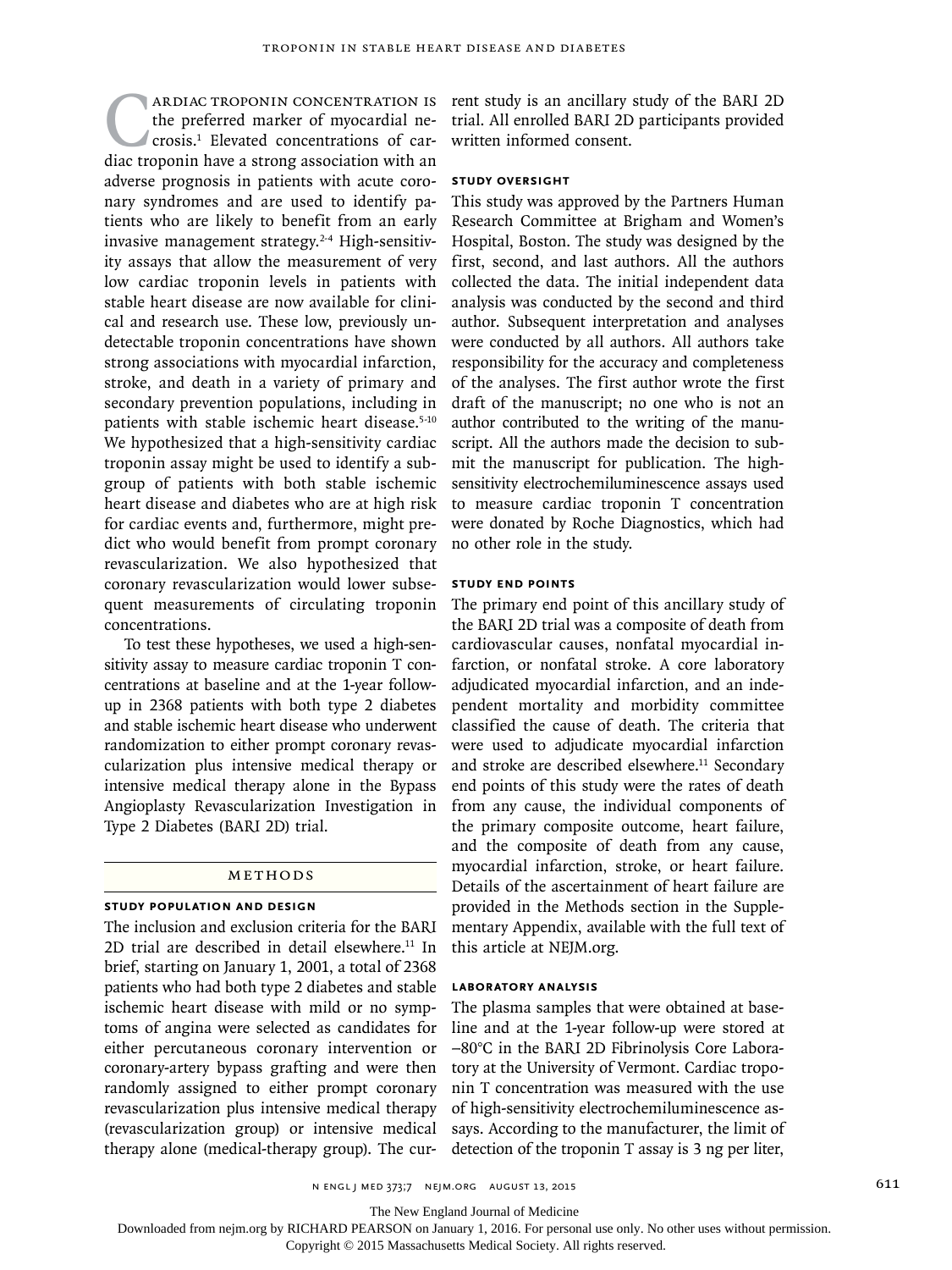**CARDIAC TROPONIN CONCENTRATION IS**<br>the preferred marker of myocardial necrosis.<sup>1</sup> Elevated concentrations of car-<br>diac troponin have a strong association with an the preferred marker of myocardial necrosis.1 Elevated concentrations of caradverse prognosis in patients with acute coronary syndromes and are used to identify patients who are likely to benefit from an early invasive management strategy.2-4 High-sensitivity assays that allow the measurement of very low cardiac troponin levels in patients with stable heart disease are now available for clinical and research use. These low, previously undetectable troponin concentrations have shown strong associations with myocardial infarction, stroke, and death in a variety of primary and secondary prevention populations, including in patients with stable ischemic heart disease.<sup>5-10</sup> We hypothesized that a high-sensitivity cardiac troponin assay might be used to identify a subgroup of patients with both stable ischemic heart disease and diabetes who are at high risk for cardiac events and, furthermore, might predict who would benefit from prompt coronary revascularization. We also hypothesized that coronary revascularization would lower subsequent measurements of circulating troponin concentrations.

To test these hypotheses, we used a high-sensitivity assay to measure cardiac troponin T concentrations at baseline and at the 1-year followup in 2368 patients with both type 2 diabetes and stable ischemic heart disease who underwent randomization to either prompt coronary revascularization plus intensive medical therapy or intensive medical therapy alone in the Bypass Angioplasty Revascularization Investigation in Type 2 Diabetes (BARI 2D) trial.

## Methods

## **Study Population and Design**

The inclusion and exclusion criteria for the BARI 2D trial are described in detail elsewhere. $11$  In brief, starting on January 1, 2001, a total of 2368 patients who had both type 2 diabetes and stable ischemic heart disease with mild or no symptoms of angina were selected as candidates for either percutaneous coronary intervention or coronary-artery bypass grafting and were then randomly assigned to either prompt coronary revascularization plus intensive medical therapy (revascularization group) or intensive medical therapy alone (medical-therapy group). The cur-

rent study is an ancillary study of the BARI 2D trial. All enrolled BARI 2D participants provided written informed consent.

# **Study Oversight**

This study was approved by the Partners Human Research Committee at Brigham and Women's Hospital, Boston. The study was designed by the first, second, and last authors. All the authors collected the data. The initial independent data analysis was conducted by the second and third author. Subsequent interpretation and analyses were conducted by all authors. All authors take responsibility for the accuracy and completeness of the analyses. The first author wrote the first draft of the manuscript; no one who is not an author contributed to the writing of the manuscript. All the authors made the decision to submit the manuscript for publication. The highsensitivity electrochemiluminescence assays used to measure cardiac troponin T concentration were donated by Roche Diagnostics, which had no other role in the study.

#### **Study End Points**

The primary end point of this ancillary study of the BARI 2D trial was a composite of death from cardiovascular causes, nonfatal myocardial infarction, or nonfatal stroke. A core laboratory adjudicated myocardial infarction, and an independent mortality and morbidity committee classified the cause of death. The criteria that were used to adjudicate myocardial infarction and stroke are described elsewhere.<sup>11</sup> Secondary end points of this study were the rates of death from any cause, the individual components of the primary composite outcome, heart failure, and the composite of death from any cause, myocardial infarction, stroke, or heart failure. Details of the ascertainment of heart failure are provided in the Methods section in the Supplementary Appendix, available with the full text of this article at NEJM.org.

## **Laboratory Analysis**

The plasma samples that were obtained at baseline and at the 1-year follow-up were stored at −80°C in the BARI 2D Fibrinolysis Core Laboratory at the University of Vermont. Cardiac troponin T concentration was measured with the use of high-sensitivity electrochemiluminescence assays. According to the manufacturer, the limit of detection of the troponin T assay is 3 ng per liter,

n engl j med 373;7 nejm.org August 13, 2015 611

The New England Journal of Medicine

Downloaded from nejm.org by RICHARD PEARSON on January 1, 2016. For personal use only. No other uses without permission.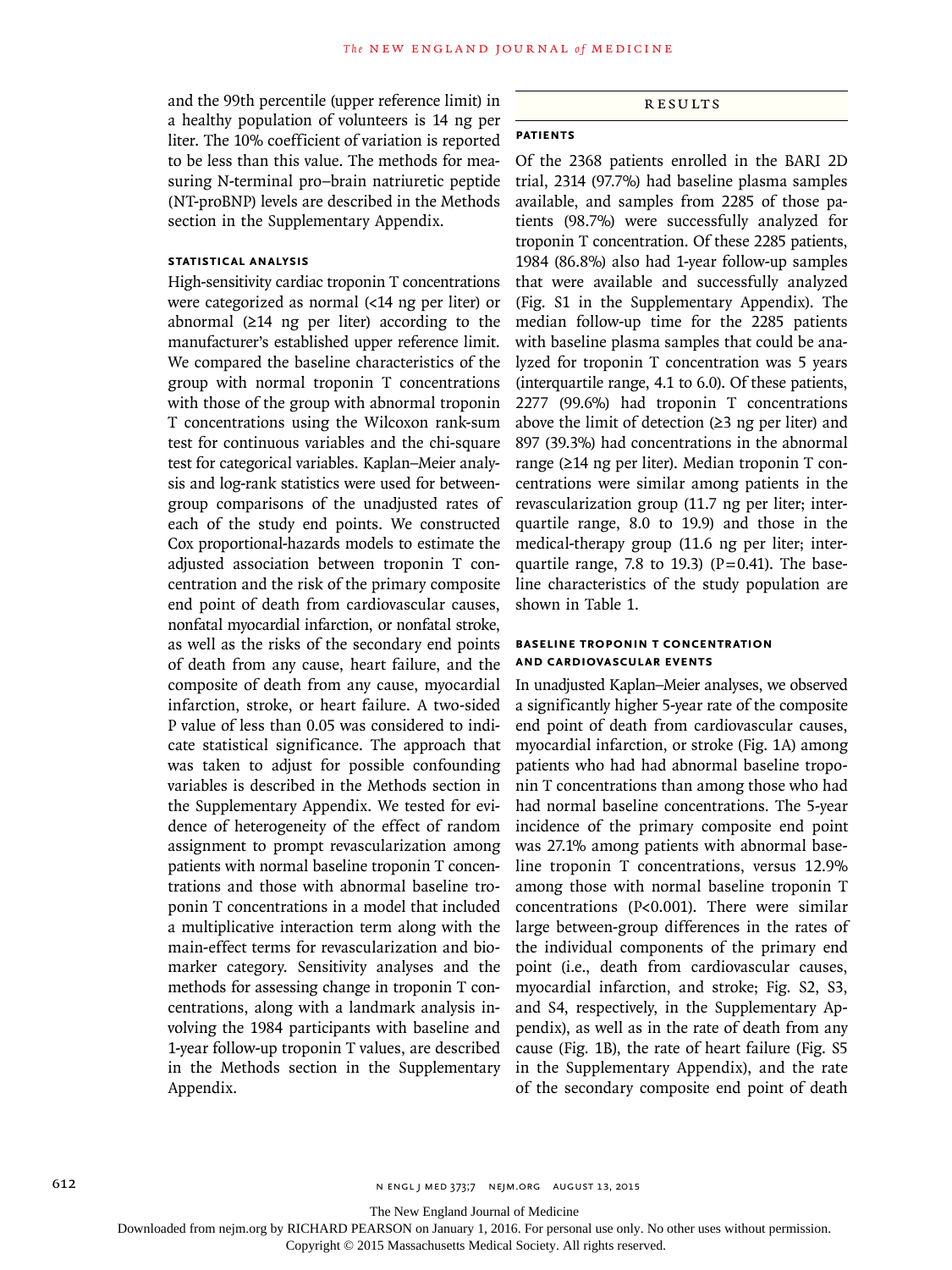and the 99th percentile (upper reference limit) in a healthy population of volunteers is 14 ng per liter. The 10% coefficient of variation is reported to be less than this value. The methods for measuring N-terminal pro–brain natriuretic peptide (NT-proBNP) levels are described in the Methods section in the Supplementary Appendix.

## **Statistical Analysis**

High-sensitivity cardiac troponin T concentrations were categorized as normal (<14 ng per liter) or abnormal (≥14 ng per liter) according to the manufacturer's established upper reference limit. We compared the baseline characteristics of the group with normal troponin T concentrations with those of the group with abnormal troponin T concentrations using the Wilcoxon rank-sum test for continuous variables and the chi-square test for categorical variables. Kaplan–Meier analysis and log-rank statistics were used for betweengroup comparisons of the unadjusted rates of each of the study end points. We constructed Cox proportional-hazards models to estimate the adjusted association between troponin T concentration and the risk of the primary composite end point of death from cardiovascular causes, nonfatal myocardial infarction, or nonfatal stroke, as well as the risks of the secondary end points of death from any cause, heart failure, and the composite of death from any cause, myocardial infarction, stroke, or heart failure. A two-sided P value of less than 0.05 was considered to indicate statistical significance. The approach that was taken to adjust for possible confounding variables is described in the Methods section in the Supplementary Appendix. We tested for evidence of heterogeneity of the effect of random assignment to prompt revascularization among patients with normal baseline troponin T concentrations and those with abnormal baseline troponin T concentrations in a model that included a multiplicative interaction term along with the main-effect terms for revascularization and biomarker category. Sensitivity analyses and the methods for assessing change in troponin T concentrations, along with a landmark analysis involving the 1984 participants with baseline and 1-year follow-up troponin T values, are described in the Methods section in the Supplementary Appendix.

## Results

# **Patients**

Of the 2368 patients enrolled in the BARI 2D trial, 2314 (97.7%) had baseline plasma samples available, and samples from 2285 of those patients (98.7%) were successfully analyzed for troponin T concentration. Of these 2285 patients, 1984 (86.8%) also had 1-year follow-up samples that were available and successfully analyzed (Fig. S1 in the Supplementary Appendix). The median follow-up time for the 2285 patients with baseline plasma samples that could be analyzed for troponin T concentration was 5 years (interquartile range, 4.1 to 6.0). Of these patients, 2277 (99.6%) had troponin T concentrations above the limit of detection  $(≥3$  ng per liter) and 897 (39.3%) had concentrations in the abnormal range (≥14 ng per liter). Median troponin T concentrations were similar among patients in the revascularization group (11.7 ng per liter; interquartile range, 8.0 to 19.9) and those in the medical-therapy group (11.6 ng per liter; interquartile range, 7.8 to 19.3) ( $P=0.41$ ). The baseline characteristics of the study population are shown in Table 1.

## **Baseline Troponin T Concentration and Cardiovascular Events**

In unadjusted Kaplan–Meier analyses, we observed a significantly higher 5-year rate of the composite end point of death from cardiovascular causes, myocardial infarction, or stroke (Fig. 1A) among patients who had had abnormal baseline troponin T concentrations than among those who had had normal baseline concentrations. The 5-year incidence of the primary composite end point was 27.1% among patients with abnormal baseline troponin T concentrations, versus 12.9% among those with normal baseline troponin T concentrations (P<0.001). There were similar large between-group differences in the rates of the individual components of the primary end point (i.e., death from cardiovascular causes, myocardial infarction, and stroke; Fig. S2, S3, and S4, respectively, in the Supplementary Appendix), as well as in the rate of death from any cause (Fig. 1B), the rate of heart failure (Fig. S5 in the Supplementary Appendix), and the rate of the secondary composite end point of death

The New England Journal of Medicine

Downloaded from nejm.org by RICHARD PEARSON on January 1, 2016. For personal use only. No other uses without permission.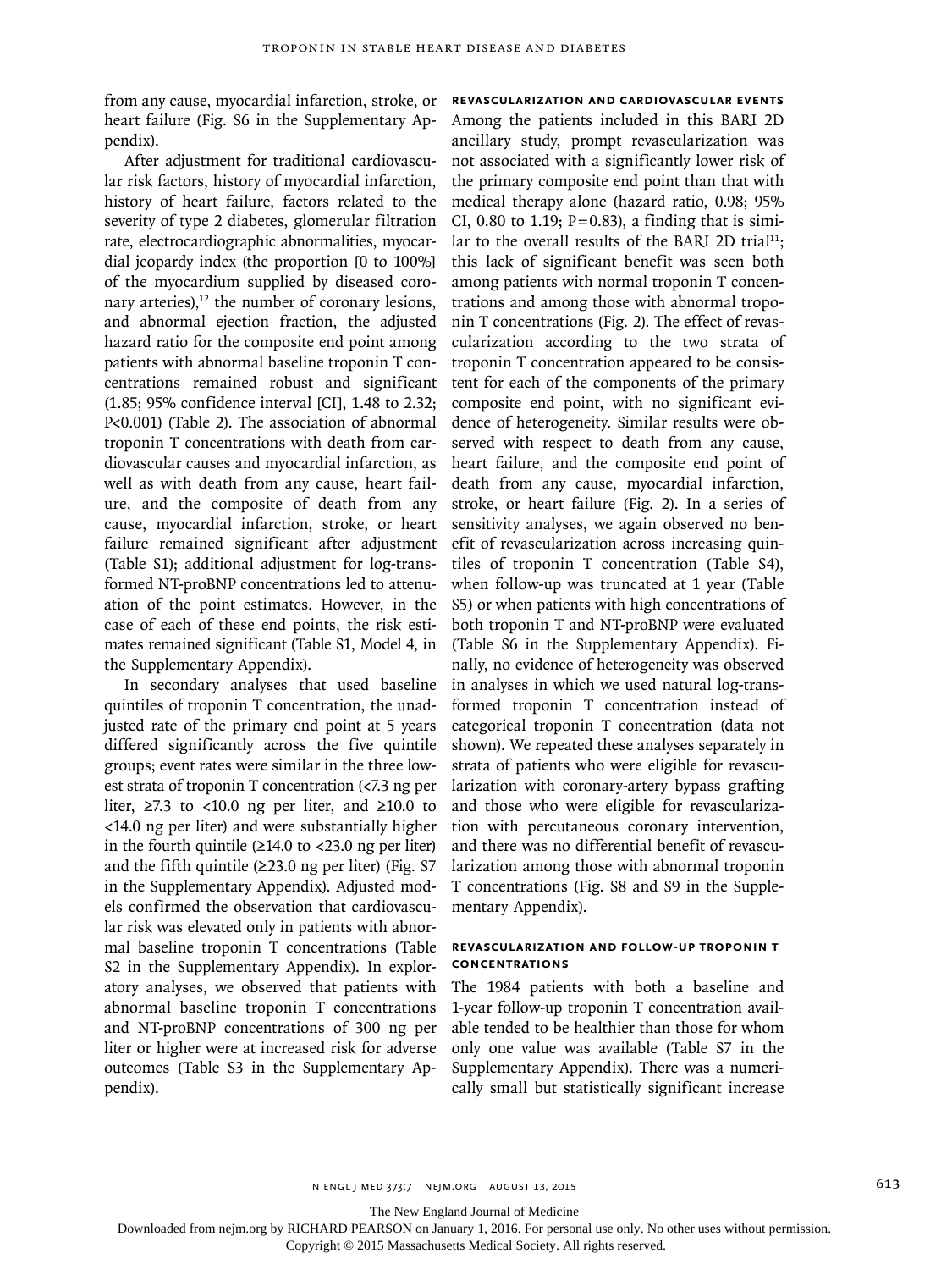from any cause, myocardial infarction, stroke, or heart failure (Fig. S6 in the Supplementary Appendix).

After adjustment for traditional cardiovascular risk factors, history of myocardial infarction, history of heart failure, factors related to the severity of type 2 diabetes, glomerular filtration rate, electrocardiographic abnormalities, myocardial jeopardy index (the proportion [0 to 100%] of the myocardium supplied by diseased coronary arteries), $12$  the number of coronary lesions, and abnormal ejection fraction, the adjusted hazard ratio for the composite end point among patients with abnormal baseline troponin T concentrations remained robust and significant (1.85; 95% confidence interval [CI], 1.48 to 2.32; P<0.001) (Table 2). The association of abnormal troponin T concentrations with death from cardiovascular causes and myocardial infarction, as well as with death from any cause, heart failure, and the composite of death from any cause, myocardial infarction, stroke, or heart failure remained significant after adjustment (Table S1); additional adjustment for log-transformed NT-proBNP concentrations led to attenuation of the point estimates. However, in the case of each of these end points, the risk estimates remained significant (Table S1, Model 4, in the Supplementary Appendix).

In secondary analyses that used baseline quintiles of troponin T concentration, the unadjusted rate of the primary end point at 5 years differed significantly across the five quintile groups; event rates were similar in the three lowest strata of troponin T concentration (<7.3 ng per liter,  $≥7.3$  to <10.0 ng per liter, and  $≥10.0$  to <14.0 ng per liter) and were substantially higher in the fourth quintile  $(≥14.0$  to <23.0 ng per liter) and the fifth quintile  $(\geq 23.0 \text{ ng per liter})$  (Fig. S7) in the Supplementary Appendix). Adjusted models confirmed the observation that cardiovascular risk was elevated only in patients with abnormal baseline troponin T concentrations (Table S2 in the Supplementary Appendix). In exploratory analyses, we observed that patients with abnormal baseline troponin T concentrations and NT-proBNP concentrations of 300 ng per liter or higher were at increased risk for adverse outcomes (Table S3 in the Supplementary Appendix).

**Revascularization and Cardiovascular Events** Among the patients included in this BARI 2D ancillary study, prompt revascularization was not associated with a significantly lower risk of the primary composite end point than that with medical therapy alone (hazard ratio, 0.98; 95% CI, 0.80 to 1.19;  $P=0.83$ ), a finding that is similar to the overall results of the BARI 2D trial<sup>11</sup>; this lack of significant benefit was seen both among patients with normal troponin T concentrations and among those with abnormal troponin T concentrations (Fig. 2). The effect of revascularization according to the two strata of troponin T concentration appeared to be consistent for each of the components of the primary composite end point, with no significant evidence of heterogeneity. Similar results were observed with respect to death from any cause, heart failure, and the composite end point of death from any cause, myocardial infarction, stroke, or heart failure (Fig. 2). In a series of sensitivity analyses, we again observed no benefit of revascularization across increasing quintiles of troponin T concentration (Table S4), when follow-up was truncated at 1 year (Table S5) or when patients with high concentrations of both troponin T and NT-proBNP were evaluated (Table S6 in the Supplementary Appendix). Finally, no evidence of heterogeneity was observed in analyses in which we used natural log-transformed troponin T concentration instead of categorical troponin T concentration (data not shown). We repeated these analyses separately in strata of patients who were eligible for revascularization with coronary-artery bypass grafting and those who were eligible for revascularization with percutaneous coronary intervention, and there was no differential benefit of revascularization among those with abnormal troponin T concentrations (Fig. S8 and S9 in the Supplementary Appendix).

# **Revascularization and Follow-up Troponin T Concentrations**

The 1984 patients with both a baseline and 1-year follow-up troponin T concentration available tended to be healthier than those for whom only one value was available (Table S7 in the Supplementary Appendix). There was a numerically small but statistically significant increase

The New England Journal of Medicine

Downloaded from nejm.org by RICHARD PEARSON on January 1, 2016. For personal use only. No other uses without permission.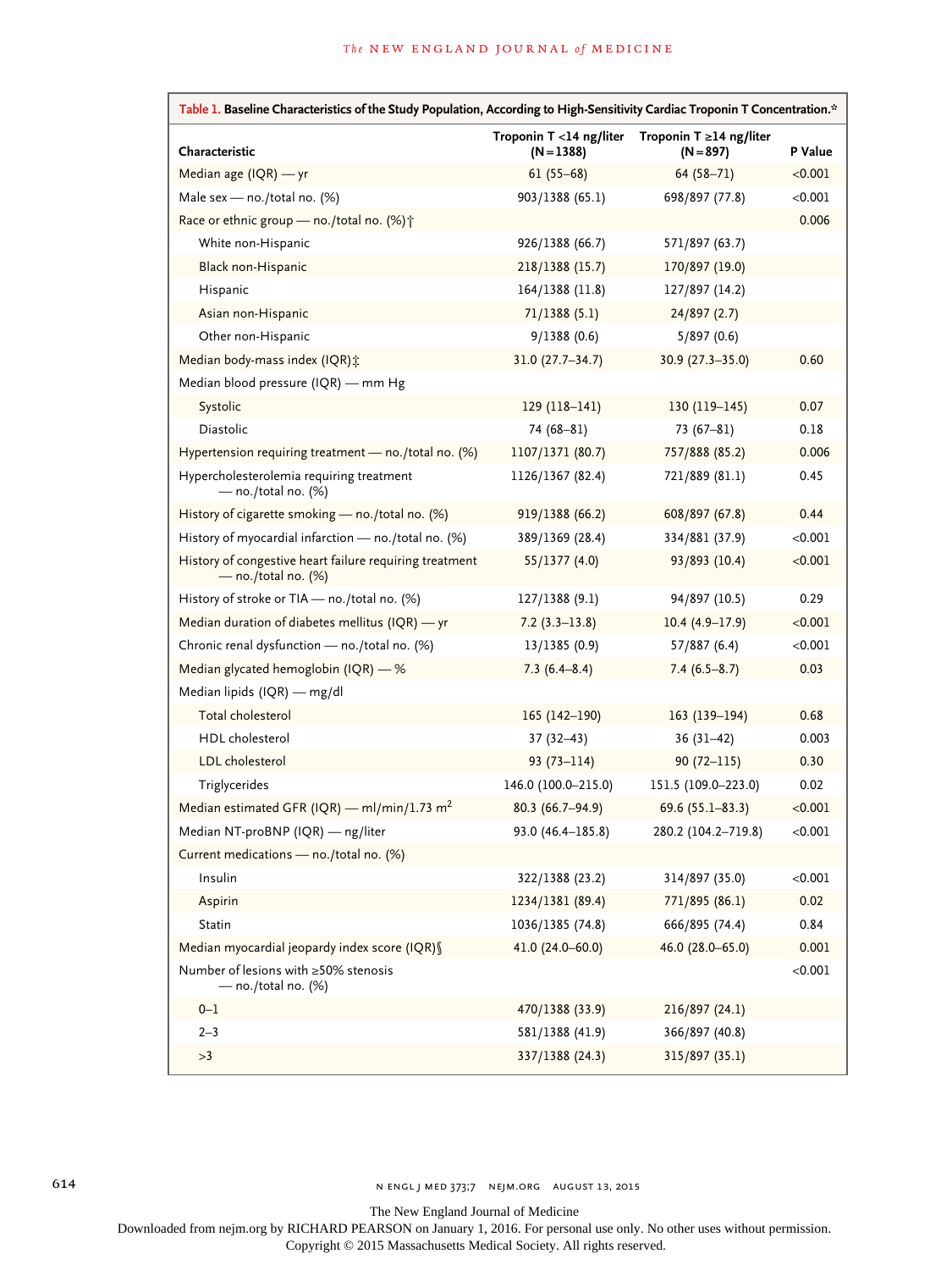| Table 1. Baseline Characteristics of the Study Population, According to High-Sensitivity Cardiac Troponin T Concentration.* |                                         |                                             |         |  |
|-----------------------------------------------------------------------------------------------------------------------------|-----------------------------------------|---------------------------------------------|---------|--|
| Characteristic                                                                                                              | Troponin T <14 ng/liter<br>$(N = 1388)$ | Troponin $T \ge 14$ ng/liter<br>$(N = 897)$ | P Value |  |
| Median age (IQR) - yr                                                                                                       | $61(55-68)$                             | $64(58 - 71)$                               | < 0.001 |  |
| Male sex - no./total no. (%)                                                                                                | 903/1388 (65.1)                         | 698/897 (77.8)                              | < 0.001 |  |
| Race or ethnic group - no./total no. (%) <sup>+</sup>                                                                       |                                         |                                             | 0.006   |  |
| White non-Hispanic                                                                                                          | 926/1388 (66.7)                         | 571/897 (63.7)                              |         |  |
| Black non-Hispanic                                                                                                          | 218/1388 (15.7)                         | 170/897 (19.0)                              |         |  |
| Hispanic                                                                                                                    | 164/1388 (11.8)                         | 127/897 (14.2)                              |         |  |
| Asian non-Hispanic                                                                                                          | 71/1388(5.1)                            | 24/897(2.7)                                 |         |  |
| Other non-Hispanic                                                                                                          | 9/1388(0.6)                             | 5/897(0.6)                                  |         |  |
| Median body-mass index (IQR) ::                                                                                             | $31.0(27.7 - 34.7)$                     | $30.9(27.3 - 35.0)$                         | 0.60    |  |
| Median blood pressure (IQR) — mm Hg                                                                                         |                                         |                                             |         |  |
| Systolic                                                                                                                    | $129(118-141)$                          | $130(119-145)$                              | 0.07    |  |
| <b>Diastolic</b>                                                                                                            | 74 (68-81)                              | $73(67-81)$                                 | 0.18    |  |
| Hypertension requiring treatment $-$ no./total no. (%)                                                                      | 1107/1371 (80.7)                        | 757/888 (85.2)                              | 0.006   |  |
| Hypercholesterolemia requiring treatment<br>$-$ no./total no. (%)                                                           | 1126/1367 (82.4)                        | 721/889 (81.1)                              | 0.45    |  |
| History of cigarette smoking - no./total no. (%)                                                                            | 919/1388 (66.2)                         | 608/897 (67.8)                              | 0.44    |  |
| History of myocardial infarction - no./total no. (%)                                                                        | 389/1369 (28.4)                         | 334/881 (37.9)                              | < 0.001 |  |
| History of congestive heart failure requiring treatment<br>$-$ no./total no. (%)                                            | 55/1377 (4.0)                           | 93/893 (10.4)                               | < 0.001 |  |
| History of stroke or TIA - no./total no. (%)                                                                                | 127/1388 (9.1)                          | 94/897 (10.5)                               | 0.29    |  |
| Median duration of diabetes mellitus (IQR) - yr                                                                             | $7.2(3.3-13.8)$                         | $10.4(4.9-17.9)$                            | < 0.001 |  |
| Chronic renal dysfunction - no./total no. (%)                                                                               | 13/1385 (0.9)                           | 57/887 (6.4)                                | < 0.001 |  |
| Median glycated hemoglobin (IQR) - %                                                                                        | $7.3(6.4 - 8.4)$                        | $7.4(6.5-8.7)$                              | 0.03    |  |
| Median lipids (IQR) - mg/dl                                                                                                 |                                         |                                             |         |  |
| Total cholesterol                                                                                                           | 165 (142-190)                           | $163(139-194)$                              | 0.68    |  |
| HDL cholesterol                                                                                                             | $37(32-43)$                             | $36(31-42)$                                 | 0.003   |  |
| LDL cholesterol                                                                                                             | $93(73 - 114)$                          | $90(72 - 115)$                              | 0.30    |  |
| Triglycerides                                                                                                               | 146.0 (100.0-215.0)                     | 151.5 (109.0-223.0)                         | 0.02    |  |
| Median estimated GFR (IQR) — ml/min/1.73 m <sup>2</sup>                                                                     | $80.3(66.7-94.9)$                       | 69.6 $(55.1 - 83.3)$                        | < 0.001 |  |
| Median NT-proBNP (IQR) - ng/liter                                                                                           | 93.0 (46.4-185.8)                       | 280.2 (104.2-719.8)                         | < 0.001 |  |
| Current medications - no./total no. (%)                                                                                     |                                         |                                             |         |  |
| Insulin                                                                                                                     | 322/1388 (23.2)                         | 314/897 (35.0)                              | < 0.001 |  |
| Aspirin                                                                                                                     | 1234/1381 (89.4)                        | 771/895 (86.1)                              | 0.02    |  |
| Statin                                                                                                                      | 1036/1385 (74.8)                        | 666/895 (74.4)                              | 0.84    |  |
| Median myocardial jeopardy index score (IQR) §                                                                              | 41.0 (24.0-60.0)                        | 46.0 (28.0-65.0)                            | 0.001   |  |
| Number of lesions with ≥50% stenosis<br>- no./total no. (%)                                                                 |                                         |                                             | < 0.001 |  |
| $0 - 1$                                                                                                                     | 470/1388 (33.9)                         | 216/897 (24.1)                              |         |  |
| $2 - 3$                                                                                                                     | 581/1388 (41.9)                         | 366/897 (40.8)                              |         |  |
| >3                                                                                                                          | 337/1388 (24.3)                         | 315/897 (35.1)                              |         |  |

The New England Journal of Medicine

Downloaded from nejm.org by RICHARD PEARSON on January 1, 2016. For personal use only. No other uses without permission.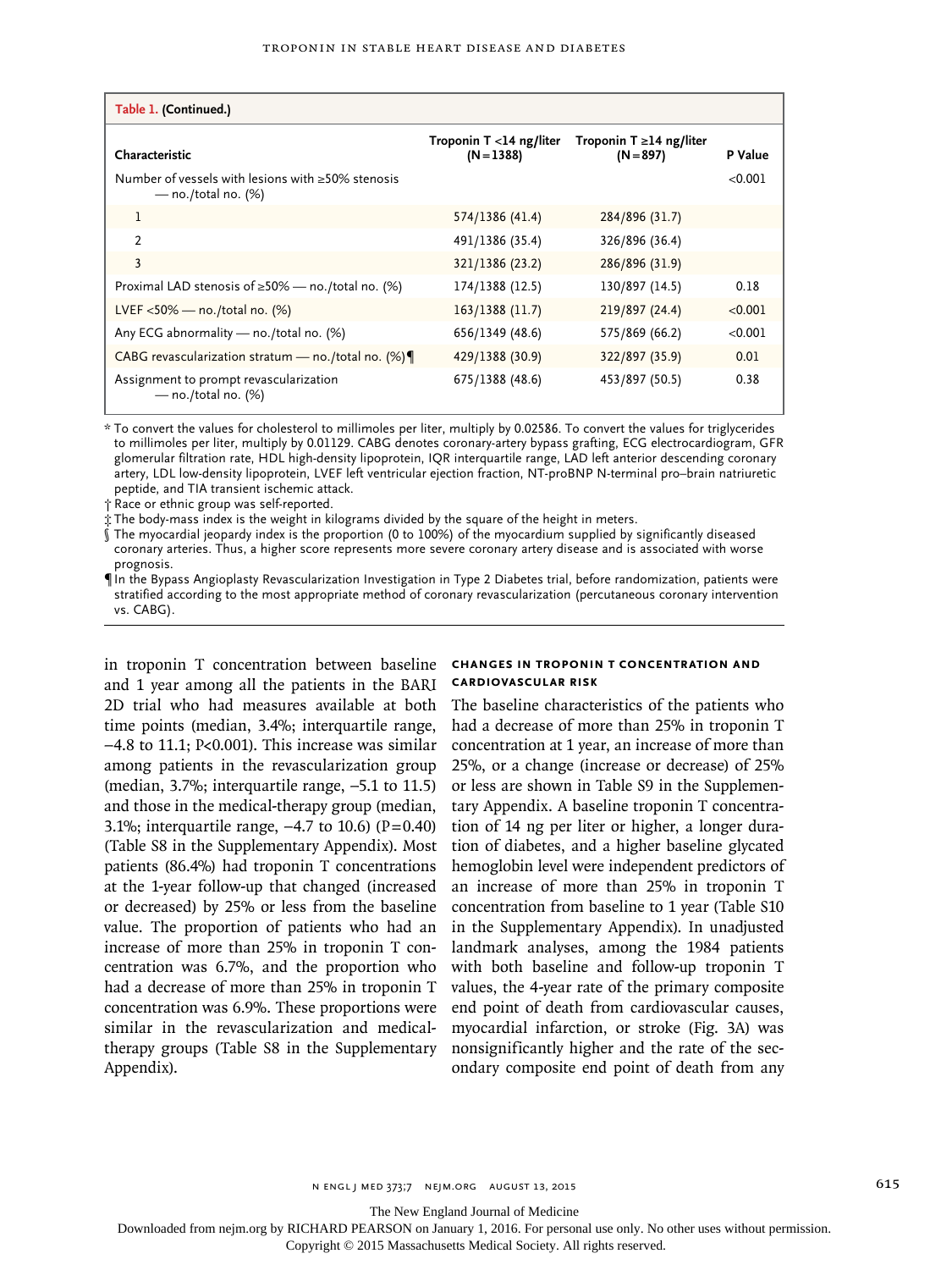| Table 1. (Continued.)                                               |                                            |                                              |                    |
|---------------------------------------------------------------------|--------------------------------------------|----------------------------------------------|--------------------|
| Characteristic<br>Number of vessels with lesions with ≥50% stenosis | Troponin $T < 14$ ng/liter<br>$(N = 1388)$ | Troponin T $\geq$ 14 ng/liter<br>$(N = 897)$ | P Value<br>< 0.001 |
| — no./total no. $(\%)$                                              |                                            |                                              |                    |
| 1                                                                   | 574/1386 (41.4)                            | 284/896 (31.7)                               |                    |
| $\mathcal{P}$                                                       | 491/1386 (35.4)                            | 326/896 (36.4)                               |                    |
| 3                                                                   | 321/1386 (23.2)                            | 286/896 (31.9)                               |                    |
| Proximal LAD stenosis of $\geq$ 50% — no./total no. (%)             | 174/1388 (12.5)                            | 130/897 (14.5)                               | 0.18               |
| LVEF $<$ 50% — no./total no. (%)                                    | 163/1388 (11.7)                            | 219/897 (24.4)                               | < 0.001            |
| Any ECG abnormality - no./total no. (%)                             | 656/1349 (48.6)                            | 575/869 (66.2)                               | < 0.001            |
| CABG revascularization stratum - no./total no. (%)                  | 429/1388 (30.9)                            | 322/897 (35.9)                               | 0.01               |
| Assignment to prompt revascularization<br>$-$ no./total no. (%)     | 675/1388 (48.6)                            | 453/897 (50.5)                               | 0.38               |

\* To convert the values for cholesterol to millimoles per liter, multiply by 0.02586. To convert the values for triglycerides to millimoles per liter, multiply by 0.01129. CABG denotes coronary-artery bypass grafting, ECG electrocardiogram, GFR glomerular filtration rate, HDL high-density lipoprotein, IQR interquartile range, LAD left anterior descending coronary artery, LDL low-density lipoprotein, LVEF left ventricular ejection fraction, NT-proBNP N-terminal pro–brain natriuretic peptide, and TIA transient ischemic attack.

† Race or ethnic group was self-reported.

‡ The body-mass index is the weight in kilograms divided by the square of the height in meters.

§ The myocardial jeopardy index is the proportion (0 to 100%) of the myocardium supplied by significantly diseased coronary arteries. Thus, a higher score represents more severe coronary artery disease and is associated with worse prognosis.

¶ In the Bypass Angioplasty Revascularization Investigation in Type 2 Diabetes trial, before randomization, patients were stratified according to the most appropriate method of coronary revascularization (percutaneous coronary intervention vs. CABG).

in troponin T concentration between baseline and 1 year among all the patients in the BARI 2D trial who had measures available at both time points (median, 3.4%; interquartile range, −4.8 to 11.1; P<0.001). This increase was similar among patients in the revascularization group (median, 3.7%; interquartile range, −5.1 to 11.5) and those in the medical-therapy group (median, 3.1%; interquartile range,  $-4.7$  to 10.6) (P=0.40) (Table S8 in the Supplementary Appendix). Most patients (86.4%) had troponin T concentrations at the 1-year follow-up that changed (increased or decreased) by 25% or less from the baseline value. The proportion of patients who had an increase of more than 25% in troponin T concentration was 6.7%, and the proportion who had a decrease of more than 25% in troponin T concentration was 6.9%. These proportions were similar in the revascularization and medicaltherapy groups (Table S8 in the Supplementary Appendix).

## **Changes in Troponin T Concentration and Cardiovascular Risk**

The baseline characteristics of the patients who had a decrease of more than 25% in troponin T concentration at 1 year, an increase of more than 25%, or a change (increase or decrease) of 25% or less are shown in Table S9 in the Supplementary Appendix. A baseline troponin T concentration of 14 ng per liter or higher, a longer duration of diabetes, and a higher baseline glycated hemoglobin level were independent predictors of an increase of more than 25% in troponin T concentration from baseline to 1 year (Table S10 in the Supplementary Appendix). In unadjusted landmark analyses, among the 1984 patients with both baseline and follow-up troponin T values, the 4-year rate of the primary composite end point of death from cardiovascular causes, myocardial infarction, or stroke (Fig. 3A) was nonsignificantly higher and the rate of the secondary composite end point of death from any

The New England Journal of Medicine

Downloaded from nejm.org by RICHARD PEARSON on January 1, 2016. For personal use only. No other uses without permission.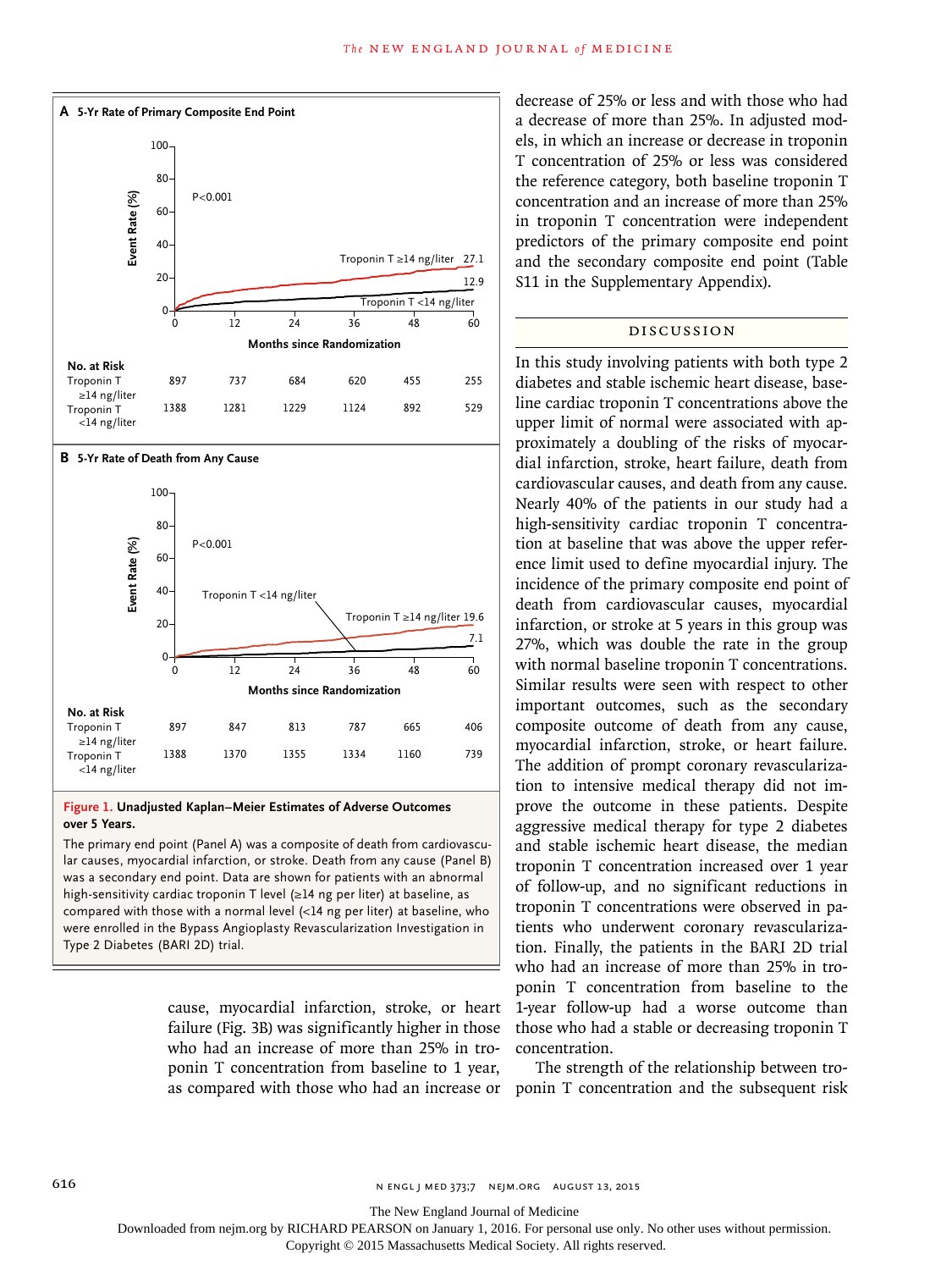

#### **Figure 1. Unadjusted Kaplan–Meier Estimates of Adverse Outcomes over 5 Years.**

The primary end point (Panel A) was a composite of death from cardiovascular causes, myocardial infarction, or stroke. Death from any cause (Panel B) was a secondary end point. Data are shown for patients with an abnormal high-sensitivity cardiac troponin T level (≥14 ng per liter) at baseline, as compared with those with a normal level (<14 ng per liter) at baseline, who were enrolled in the Bypass Angioplasty Revascularization Investigation in

> cause, myocardial infarction, stroke, or heart failure (Fig. 3B) was significantly higher in those who had an increase of more than 25% in troponin T concentration from baseline to 1 year, as compared with those who had an increase or ponin T concentration and the subsequent risk

decrease of 25% or less and with those who had a decrease of more than 25%. In adjusted models, in which an increase or decrease in troponin T concentration of 25% or less was considered the reference category, both baseline troponin T concentration and an increase of more than 25% in troponin T concentration were independent predictors of the primary composite end point and the secondary composite end point (Table S11 in the Supplementary Appendix).

## Discussion

In this study involving patients with both type 2 diabetes and stable ischemic heart disease, baseline cardiac troponin T concentrations above the upper limit of normal were associated with approximately a doubling of the risks of myocardial infarction, stroke, heart failure, death from cardiovascular causes, and death from any cause. Nearly 40% of the patients in our study had a high-sensitivity cardiac troponin T concentration at baseline that was above the upper reference limit used to define myocardial injury. The incidence of the primary composite end point of death from cardiovascular causes, myocardial infarction, or stroke at 5 years in this group was 27%, which was double the rate in the group with normal baseline troponin T concentrations. Similar results were seen with respect to other important outcomes, such as the secondary composite outcome of death from any cause, myocardial infarction, stroke, or heart failure. The addition of prompt coronary revascularization to intensive medical therapy did not improve the outcome in these patients. Despite aggressive medical therapy for type 2 diabetes and stable ischemic heart disease, the median troponin T concentration increased over 1 year of follow-up, and no significant reductions in troponin T concentrations were observed in patients who underwent coronary revascularization. Finally, the patients in the BARI 2D trial who had an increase of more than 25% in troponin T concentration from baseline to the 1-year follow-up had a worse outcome than those who had a stable or decreasing troponin T concentration.

The strength of the relationship between tro-

616 **616** N ENGL | MED 373;7 NEIM.ORG AUGUST 13, 2015

The New England Journal of Medicine

Downloaded from nejm.org by RICHARD PEARSON on January 1, 2016. For personal use only. No other uses without permission.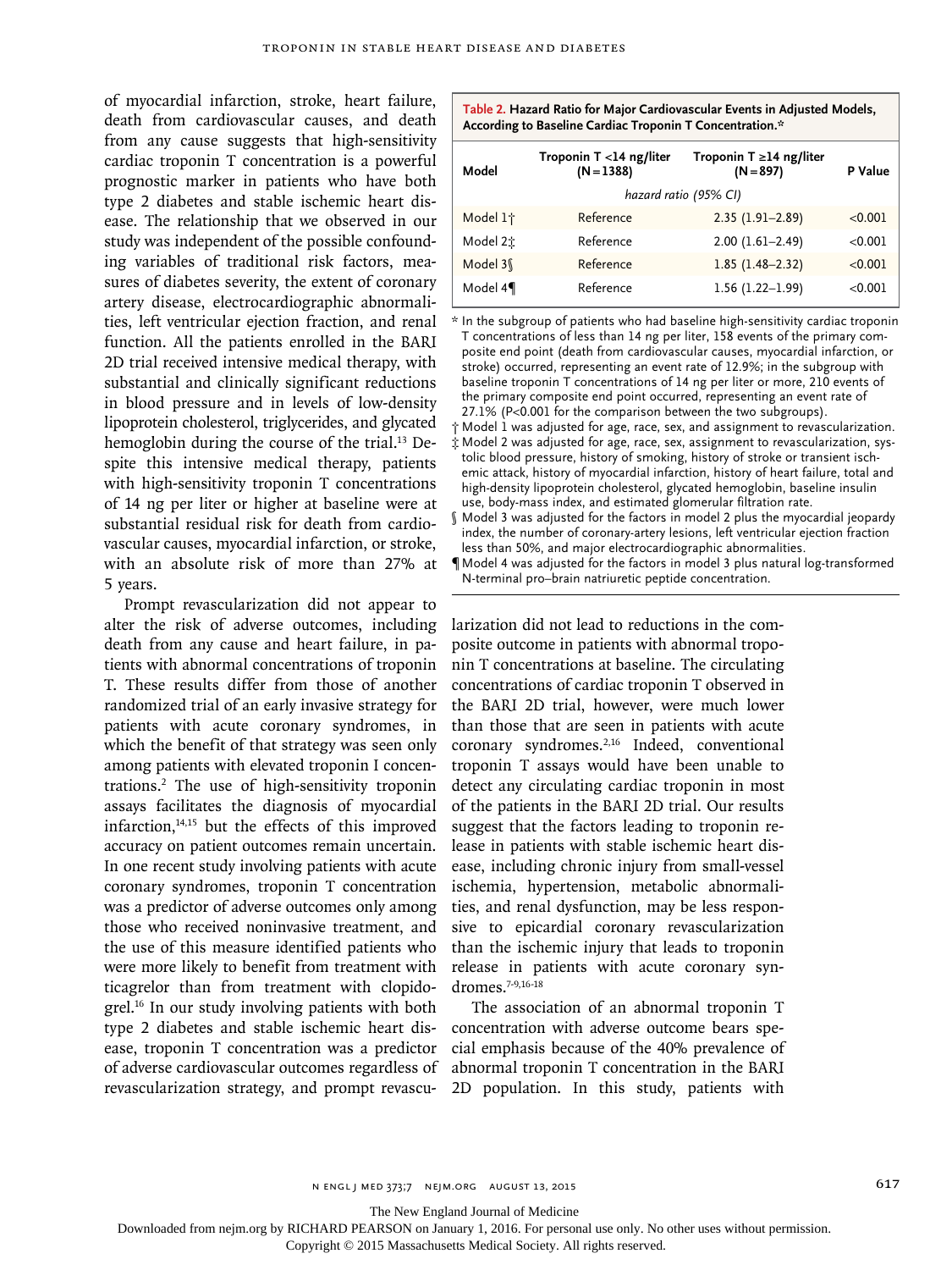of myocardial infarction, stroke, heart failure, death from cardiovascular causes, and death from any cause suggests that high-sensitivity cardiac troponin T concentration is a powerful prognostic marker in patients who have both type 2 diabetes and stable ischemic heart disease. The relationship that we observed in our study was independent of the possible confounding variables of traditional risk factors, measures of diabetes severity, the extent of coronary artery disease, electrocardiographic abnormalities, left ventricular ejection fraction, and renal function. All the patients enrolled in the BARI 2D trial received intensive medical therapy, with substantial and clinically significant reductions in blood pressure and in levels of low-density lipoprotein cholesterol, triglycerides, and glycated hemoglobin during the course of the trial.<sup>13</sup> Despite this intensive medical therapy, patients with high-sensitivity troponin T concentrations of 14 ng per liter or higher at baseline were at substantial residual risk for death from cardiovascular causes, myocardial infarction, or stroke, with an absolute risk of more than 27% at 5 years.

Prompt revascularization did not appear to alter the risk of adverse outcomes, including death from any cause and heart failure, in patients with abnormal concentrations of troponin T. These results differ from those of another randomized trial of an early invasive strategy for patients with acute coronary syndromes, in which the benefit of that strategy was seen only among patients with elevated troponin I concentrations.2 The use of high-sensitivity troponin assays facilitates the diagnosis of myocardial infarction, $14,15$  but the effects of this improved accuracy on patient outcomes remain uncertain. In one recent study involving patients with acute coronary syndromes, troponin T concentration was a predictor of adverse outcomes only among those who received noninvasive treatment, and the use of this measure identified patients who were more likely to benefit from treatment with ticagrelor than from treatment with clopidogrel.16 In our study involving patients with both type 2 diabetes and stable ischemic heart disease, troponin T concentration was a predictor of adverse cardiovascular outcomes regardless of revascularization strategy, and prompt revascu-

| Table 2. Hazard Ratio for Major Cardiovascular Events in Adjusted Models, |
|---------------------------------------------------------------------------|
| According to Baseline Cardiac Troponin T Concentration.*                  |

| Model                 | Troponin T <14 ng/liter<br>$(N = 1388)$ | Troponin T $\geq$ 14 ng/liter<br>$(N = 897)$ | P Value |
|-----------------------|-----------------------------------------|----------------------------------------------|---------|
| hazard ratio (95% CI) |                                         |                                              |         |
| Model 1 <sup>+</sup>  | Reference                               | $2.35(1.91 - 2.89)$                          | < 0.001 |
| Model 2:              | Reference                               | $2.00(1.61 - 2.49)$                          | < 0.001 |
| Model 3\              | Reference                               | $1.85(1.48 - 2.32)$                          | < 0.001 |
| Model 41              | Reference                               | $1.56(1.22 - 1.99)$                          | < 0.001 |

\* In the subgroup of patients who had baseline high-sensitivity cardiac troponin T concentrations of less than 14 ng per liter, 158 events of the primary composite end point (death from cardiovascular causes, myocardial infarction, or stroke) occurred, representing an event rate of 12.9%; in the subgroup with baseline troponin T concentrations of 14 ng per liter or more, 210 events of the primary composite end point occurred, representing an event rate of 27.1% (P<0.001 for the comparison between the two subgroups).

 $\dagger$  Model 1 was adjusted for age, race, sex, and assignment to revascularization. ‡ Model 2 was adjusted for age, race, sex, assignment to revascularization, systolic blood pressure, history of smoking, history of stroke or transient ischemic attack, history of myocardial infarction, history of heart failure, total and high-density lipoprotein cholesterol, glycated hemoglobin, baseline insulin use, body-mass index, and estimated glomerular filtration rate.

§ Model 3 was adjusted for the factors in model 2 plus the myocardial jeopardy index, the number of coronary-artery lesions, left ventricular ejection fraction less than 50%, and major electrocardiographic abnormalities.

¶ Model 4 was adjusted for the factors in model 3 plus natural log-transformed N-terminal pro–brain natriuretic peptide concentration.

larization did not lead to reductions in the composite outcome in patients with abnormal troponin T concentrations at baseline. The circulating concentrations of cardiac troponin T observed in the BARI 2D trial, however, were much lower than those that are seen in patients with acute coronary syndromes.<sup>2,16</sup> Indeed, conventional troponin T assays would have been unable to detect any circulating cardiac troponin in most of the patients in the BARI 2D trial. Our results suggest that the factors leading to troponin release in patients with stable ischemic heart disease, including chronic injury from small-vessel ischemia, hypertension, metabolic abnormalities, and renal dysfunction, may be less responsive to epicardial coronary revascularization than the ischemic injury that leads to troponin release in patients with acute coronary syndromes.7-9,16-18

The association of an abnormal troponin T concentration with adverse outcome bears special emphasis because of the 40% prevalence of abnormal troponin T concentration in the BARI 2D population. In this study, patients with

The New England Journal of Medicine

Downloaded from nejm.org by RICHARD PEARSON on January 1, 2016. For personal use only. No other uses without permission.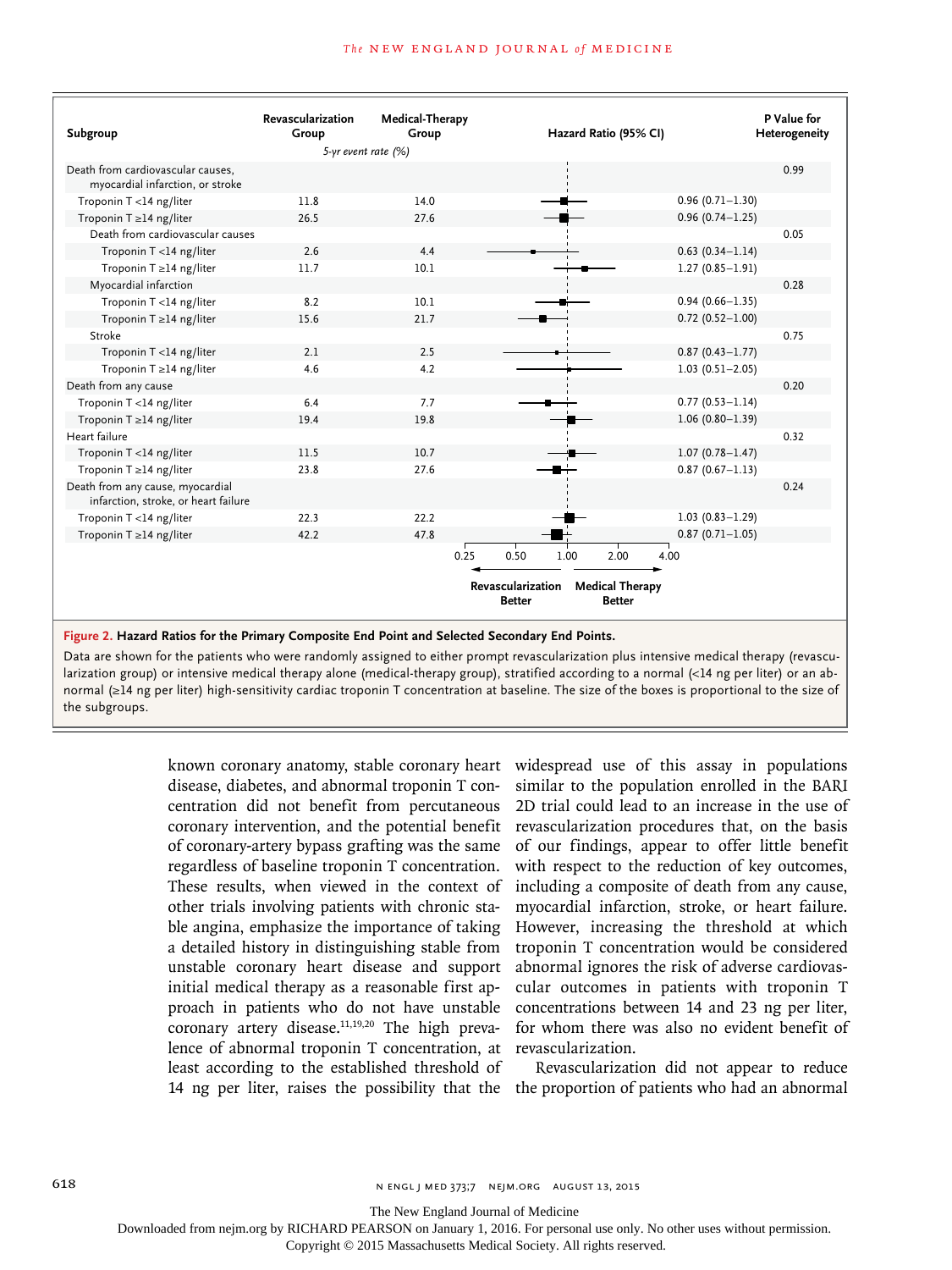|                                                                          | Revascularization       | Medical-Therapy |                                    |                                         |                     | P Value for   |
|--------------------------------------------------------------------------|-------------------------|-----------------|------------------------------------|-----------------------------------------|---------------------|---------------|
| Subgroup                                                                 | Group                   | Group           |                                    | Hazard Ratio (95% CI)                   |                     | Heterogeneity |
|                                                                          | $5-yr$ event rate $(%)$ |                 |                                    |                                         |                     |               |
| Death from cardiovascular causes.<br>myocardial infarction, or stroke    |                         |                 |                                    |                                         |                     | 0.99          |
| Troponin T <14 ng/liter                                                  | 11.8                    | 14.0            |                                    |                                         | $0.96(0.71 - 1.30)$ |               |
| Troponin T ≥14 ng/liter                                                  | 26.5                    | 27.6            |                                    |                                         | $0.96(0.74 - 1.25)$ |               |
| Death from cardiovascular causes                                         |                         |                 |                                    |                                         |                     | 0.05          |
| Troponin T <14 ng/liter                                                  | 2.6                     | 4.4             |                                    |                                         | $0.63(0.34 - 1.14)$ |               |
| Troponin T ≥14 ng/liter                                                  | 11.7                    | 10.1            |                                    |                                         | $1.27(0.85 - 1.91)$ |               |
| Myocardial infarction                                                    |                         |                 |                                    |                                         |                     | 0.28          |
| Troponin T <14 ng/liter                                                  | 8.2                     | 10.1            |                                    |                                         | $0.94(0.66 - 1.35)$ |               |
| Troponin T ≥14 ng/liter                                                  | 15.6                    | 21.7            |                                    |                                         | $0.72$ (0.52-1.00)  |               |
| Stroke                                                                   |                         |                 |                                    |                                         |                     | 0.75          |
| Troponin T <14 ng/liter                                                  | 2.1                     | 2.5             |                                    |                                         | $0.87(0.43 - 1.77)$ |               |
| Troponin T ≥14 ng/liter                                                  | 4.6                     | 4.2             |                                    |                                         | $1.03(0.51 - 2.05)$ |               |
| Death from any cause                                                     |                         |                 |                                    |                                         |                     | 0.20          |
| Troponin T <14 ng/liter                                                  | 6.4                     | 7.7             |                                    |                                         | $0.77(0.53 - 1.14)$ |               |
| Troponin T ≥14 ng/liter                                                  | 19.4                    | 19.8            |                                    |                                         | $1.06(0.80 - 1.39)$ |               |
| Heart failure                                                            |                         |                 |                                    |                                         |                     | 0.32          |
| Troponin T <14 ng/liter                                                  | 11.5                    | 10.7            |                                    |                                         | $1.07(0.78 - 1.47)$ |               |
| Troponin T ≥14 ng/liter                                                  | 23.8                    | 27.6            |                                    |                                         | $0.87(0.67 - 1.13)$ |               |
| Death from any cause, myocardial<br>infarction, stroke, or heart failure |                         |                 |                                    |                                         |                     | 0.24          |
| Troponin T <14 ng/liter                                                  | 22.3                    | 22.2            |                                    |                                         | $1.03(0.83 - 1.29)$ |               |
| Troponin $T \geq 14$ ng/liter                                            | 42.2                    | 47.8            |                                    |                                         | $0.87(0.71 - 1.05)$ |               |
|                                                                          |                         | 0.25            | 0.50<br>1.00                       | 2.00                                    | 4.00                |               |
|                                                                          |                         |                 | Revascularization<br><b>Better</b> | <b>Medical Therapy</b><br><b>Better</b> |                     |               |

### **Figure 2. Hazard Ratios for the Primary Composite End Point and Selected Secondary End Points.**

Data are shown for the patients who were randomly assigned to either prompt revascularization plus intensive medical therapy (revascularization group) or intensive medical therapy alone (medical-therapy group), stratified according to a normal (<14 ng per liter) or an abnormal (≥14 ng per liter) high-sensitivity cardiac troponin T concentration at baseline. The size of the boxes is proportional to the size of the subgroups.

> known coronary anatomy, stable coronary heart disease, diabetes, and abnormal troponin T concentration did not benefit from percutaneous coronary intervention, and the potential benefit of coronary-artery bypass grafting was the same regardless of baseline troponin T concentration. These results, when viewed in the context of other trials involving patients with chronic stable angina, emphasize the importance of taking a detailed history in distinguishing stable from unstable coronary heart disease and support initial medical therapy as a reasonable first approach in patients who do not have unstable coronary artery disease. $11,19,20$  The high prevalence of abnormal troponin T concentration, at least according to the established threshold of

widespread use of this assay in populations similar to the population enrolled in the BARI 2D trial could lead to an increase in the use of revascularization procedures that, on the basis of our findings, appear to offer little benefit with respect to the reduction of key outcomes, including a composite of death from any cause, myocardial infarction, stroke, or heart failure. However, increasing the threshold at which troponin T concentration would be considered abnormal ignores the risk of adverse cardiovascular outcomes in patients with troponin T concentrations between 14 and 23 ng per liter, for whom there was also no evident benefit of revascularization.

14 ng per liter, raises the possibility that the the proportion of patients who had an abnormal Revascularization did not appear to reduce

The New England Journal of Medicine

Downloaded from nejm.org by RICHARD PEARSON on January 1, 2016. For personal use only. No other uses without permission.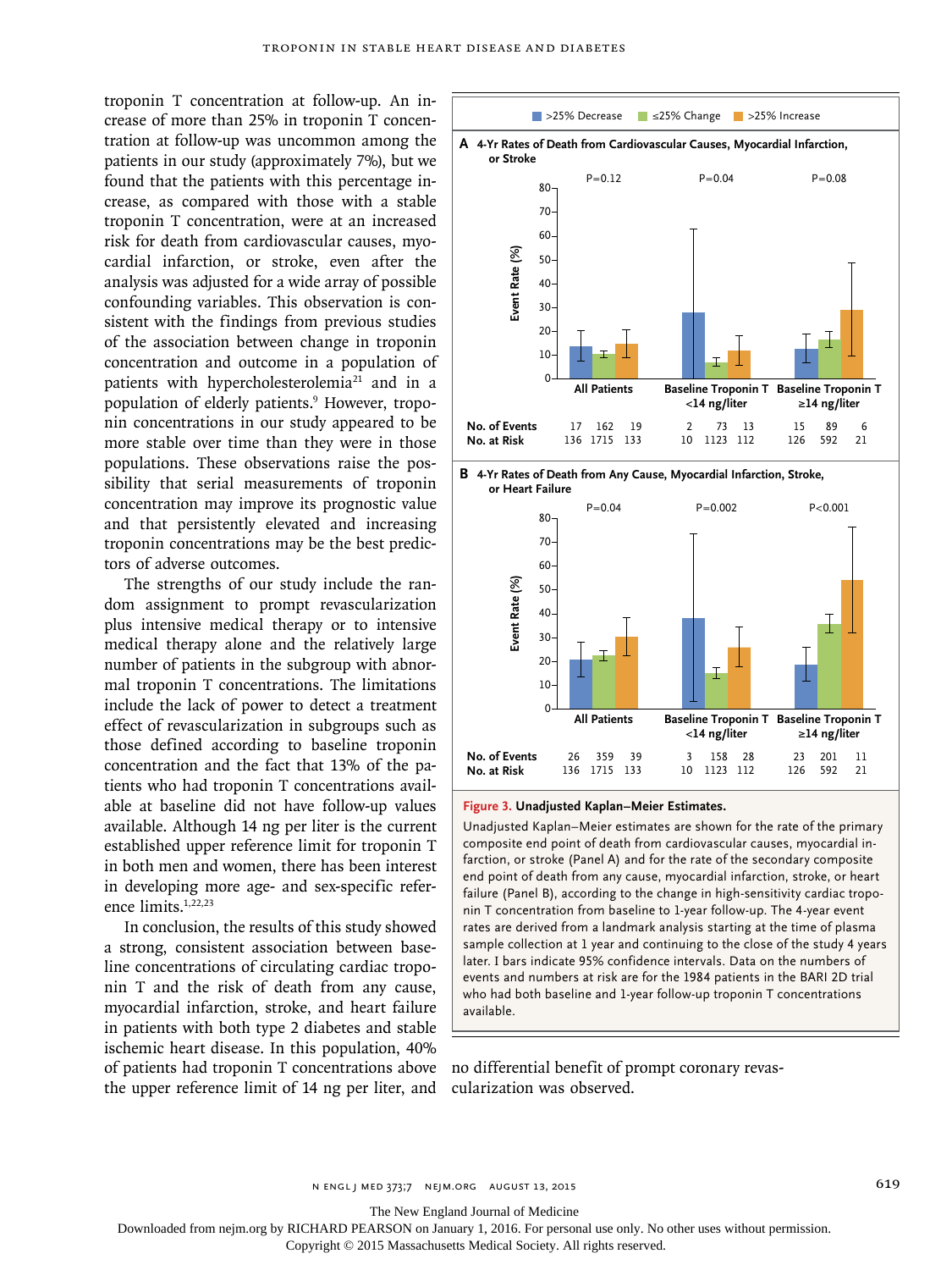troponin T concentration at follow-up. An increase of more than 25% in troponin T concentration at follow-up was uncommon among the patients in our study (approximately 7%), but we found that the patients with this percentage increase, as compared with those with a stable troponin T concentration, were at an increased risk for death from cardiovascular causes, myocardial infarction, or stroke, even after the analysis was adjusted for a wide array of possible confounding variables. This observation is consistent with the findings from previous studies of the association between change in troponin concentration and outcome in a population of patients with hypercholesterolemia<sup>21</sup> and in a population of elderly patients.<sup>9</sup> However, troponin concentrations in our study appeared to be more stable over time than they were in those populations. These observations raise the possibility that serial measurements of troponin concentration may improve its prognostic value and that persistently elevated and increasing troponin concentrations may be the best predictors of adverse outcomes.

The strengths of our study include the random assignment to prompt revascularization plus intensive medical therapy or to intensive medical therapy alone and the relatively large number of patients in the subgroup with abnormal troponin T concentrations. The limitations include the lack of power to detect a treatment effect of revascularization in subgroups such as those defined according to baseline troponin concentration and the fact that 13% of the patients who had troponin T concentrations available at baseline did not have follow-up values available. Although 14 ng per liter is the current established upper reference limit for troponin T in both men and women, there has been interest in developing more age- and sex-specific reference limits.1,22,23

In conclusion, the results of this study showed a strong, consistent association between baseline concentrations of circulating cardiac troponin T and the risk of death from any cause, myocardial infarction, stroke, and heart failure in patients with both type 2 diabetes and stable ischemic heart disease. In this population, 40% of patients had troponin T concentrations above no differential benefit of prompt coronary revasthe upper reference limit of 14 ng per liter, and



**Figure 3. Unadjusted Kaplan–Meier Estimates.**

136 1715 133

Unadjusted Kaplan–Meier estimates are shown for the rate of the primary composite end point of death from cardiovascular causes, myocardial infarction, or stroke (Panel A) and for the rate of the secondary composite end point of death from any cause, myocardial infarction, stroke, or heart failure (Panel B), according to the change in high-sensitivity cardiac troponin T concentration from baseline to 1-year follow-up. The 4-year event rates are derived from a landmark analysis starting at the time of plasma sample collection at 1 year and continuing to the close of the study 4 years later. I bars indicate 95% confidence intervals. Data on the numbers of events and numbers at risk are for the 1984 patients in the BARI 2D trial who had both baseline and 1-year follow-up troponin T concentrations available.

10

1123 112

126

592

21

cularization was observed.

The New England Journal of Medicine

Downloaded from nejm.org by RICHARD PEARSON on January 1, 2016. For personal use only. No other uses without permission.

Copyright © 2015 Massachusetts Medical Society. All rights reserved.

**No. at Risk**